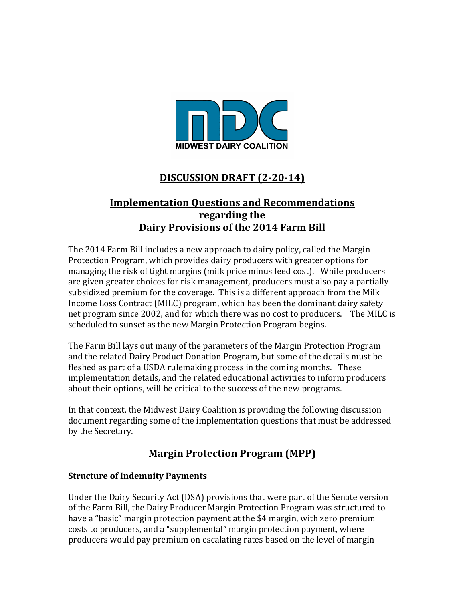

# **DISCUSSION DRAFT (2-20-14)**

# **Implementation Questions and Recommendations regarding the Dairy Provisions of the 2014 Farm Bill**

The 2014 Farm Bill includes a new approach to dairy policy, called the Margin Protection Program, which provides dairy producers with greater options for managing the risk of tight margins (milk price minus feed cost). While producers are given greater choices for risk management, producers must also pay a partially subsidized premium for the coverage. This is a different approach from the Milk Income Loss Contract (MILC) program, which has been the dominant dairy safety net program since 2002, and for which there was no cost to producers. The MILC is scheduled to sunset as the new Margin Protection Program begins.

The Farm Bill lays out many of the parameters of the Margin Protection Program and the related Dairy Product Donation Program, but some of the details must be fleshed as part of a USDA rulemaking process in the coming months. These implementation details, and the related educational activities to inform producers about their options, will be critical to the success of the new programs.

In that context, the Midwest Dairy Coalition is providing the following discussion document regarding some of the implementation questions that must be addressed by the Secretary.

# **Margin Protection Program (MPP)**

#### **Structure of Indemnity Payments**

Under the Dairy Security Act (DSA) provisions that were part of the Senate version of the Farm Bill, the Dairy Producer Margin Protection Program was structured to have a "basic" margin protection payment at the \$4 margin, with zero premium costs to producers, and a "supplemental" margin protection payment, where producers would pay premium on escalating rates based on the level of margin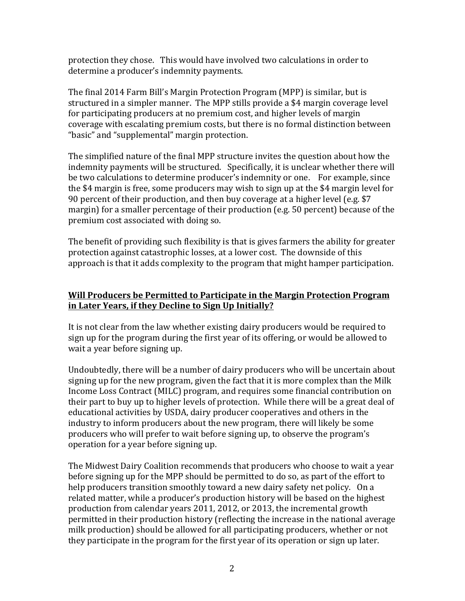protection they chose. This would have involved two calculations in order to determine a producer's indemnity payments.

The final 2014 Farm Bill's Margin Protection Program (MPP) is similar, but is structured in a simpler manner. The MPP stills provide a \$4 margin coverage level for participating producers at no premium cost, and higher levels of margin coverage with escalating premium costs, but there is no formal distinction between "basic" and "supplemental" margin protection.

The simplified nature of the final MPP structure invites the question about how the indemnity payments will be structured. Specifically, it is unclear whether there will be two calculations to determine producer's indemnity or one. For example, since the \$4 margin is free, some producers may wish to sign up at the \$4 margin level for 90 percent of their production, and then buy coverage at a higher level (e.g.  $$7$ ) margin) for a smaller percentage of their production  $(e.g., 50$  percent) because of the premium cost associated with doing so.

The benefit of providing such flexibility is that is gives farmers the ability for greater protection against catastrophic losses, at a lower cost. The downside of this approach is that it adds complexity to the program that might hamper participation.

#### **Will Producers be Permitted to Participate in the Margin Protection Program** in Later Years, if they Decline to Sign Up Initially?

It is not clear from the law whether existing dairy producers would be required to sign up for the program during the first year of its offering, or would be allowed to wait a year before signing up.

Undoubtedly, there will be a number of dairy producers who will be uncertain about signing up for the new program, given the fact that it is more complex than the Milk Income Loss Contract (MILC) program, and requires some financial contribution on their part to buy up to higher levels of protection. While there will be a great deal of educational activities by USDA, dairy producer cooperatives and others in the industry to inform producers about the new program, there will likely be some producers who will prefer to wait before signing up, to observe the program's operation for a year before signing up.

The Midwest Dairy Coalition recommends that producers who choose to wait a year before signing up for the MPP should be permitted to do so, as part of the effort to help producers transition smoothly toward a new dairy safety net policy. On a related matter, while a producer's production history will be based on the highest production from calendar years 2011, 2012, or 2013, the incremental growth permitted in their production history (reflecting the increase in the national average milk production) should be allowed for all participating producers, whether or not they participate in the program for the first year of its operation or sign up later.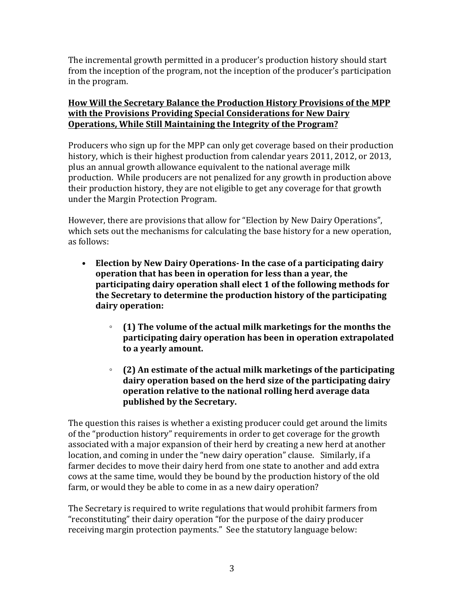The incremental growth permitted in a producer's production history should start from the inception of the program, not the inception of the producer's participation in the program.

## How Will the Secretary Balance the Production History Provisions of the MPP **with the Provisions Providing Special Considerations for New Dairy Operations, While Still Maintaining the Integrity of the Program?**

Producers who sign up for the MPP can only get coverage based on their production history, which is their highest production from calendar years 2011, 2012, or 2013, plus an annual growth allowance equivalent to the national average milk production. While producers are not penalized for any growth in production above their production history, they are not eligible to get any coverage for that growth under the Margin Protection Program.

However, there are provisions that allow for "Election by New Dairy Operations", which sets out the mechanisms for calculating the base history for a new operation, as follows:

- Election by New Dairy Operations- In the case of a participating dairy **operation that has been in operation for less than a year, the participating dairy operation shall elect 1 of the following methods for the Secretary to determine the production history of the participating dairy operation:**
	- **(1)** The volume of the actual milk marketings for the months the **participating dairy operation has been in operation extrapolated to a yearly amount.**
	- **(2)** An estimate of the actual milk marketings of the participating dairy operation based on the herd size of the participating dairy **operation relative to the national rolling herd average data published by the Secretary.**

The question this raises is whether a existing producer could get around the limits of the "production history" requirements in order to get coverage for the growth associated with a major expansion of their herd by creating a new herd at another location, and coming in under the "new dairy operation" clause. Similarly, if a farmer decides to move their dairy herd from one state to another and add extra cows at the same time, would they be bound by the production history of the old farm, or would they be able to come in as a new dairy operation?

The Secretary is required to write regulations that would prohibit farmers from "reconstituting" their dairy operation "for the purpose of the dairy producer receiving margin protection payments." See the statutory language below: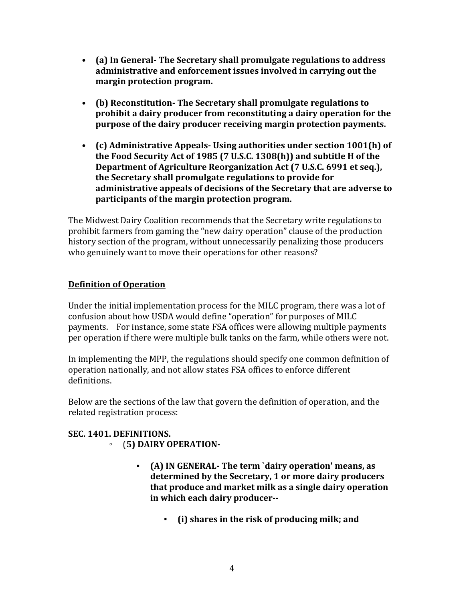- (a) In General- The Secretary shall promulgate regulations to address administrative and enforcement issues involved in carrying out the **margin protection program.**
- (b) Reconstitution- The Secretary shall promulgate regulations to **prohibit a dairy producer from reconstituting a dairy operation for the purpose of the dairy producer receiving margin protection payments.**
- (c) Administrative Appeals- Using authorities under section 1001(h) of the Food Security Act of 1985 (7 U.S.C. 1308(h)) and subtitle H of the **Department of Agriculture Reorganization Act (7 U.S.C. 6991 et seq.),** the Secretary shall promulgate regulations to provide for administrative appeals of decisions of the Secretary that are adverse to **participants of the margin protection program.**

The Midwest Dairy Coalition recommends that the Secretary write regulations to prohibit farmers from gaming the "new dairy operation" clause of the production history section of the program, without unnecessarily penalizing those producers who genuinely want to move their operations for other reasons?

## **Definition of Operation**

Under the initial implementation process for the MILC program, there was a lot of confusion about how USDA would define "operation" for purposes of MILC payments. For instance, some state FSA offices were allowing multiple payments per operation if there were multiple bulk tanks on the farm, while others were not.

In implementing the MPP, the regulations should specify one common definition of operation nationally, and not allow states FSA offices to enforce different definitions. 

Below are the sections of the law that govern the definition of operation, and the related registration process:

# SEC. 1401. DEFINITIONS.

- (**5) DAIRY OPERATION-**
	- **(A) IN GENERAL- The term `dairy operation' means, as** determined by the Secretary, 1 or more dairy producers that produce and market milk as a single dairy operation **in which each dairy producer--**
		- **(i) shares in the risk of producing milk; and**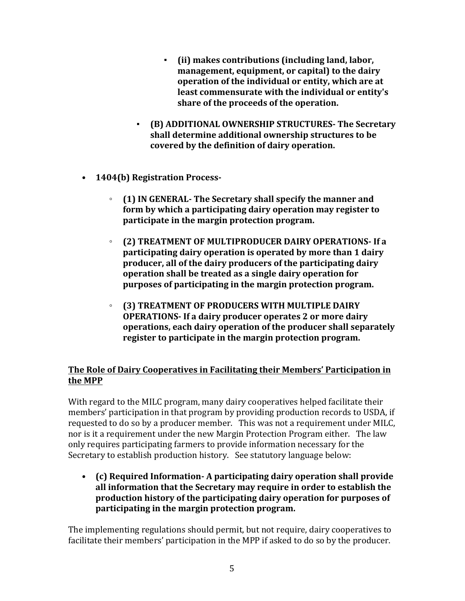- (ii) makes contributions (including land, labor, management, equipment, or capital) to the dairy **operation of the individual or entity, which are at** least commensurate with the individual or entity's **share of the proceeds of the operation.**
- **(B) ADDITIONAL OWNERSHIP STRUCTURES- The Secretary**  shall determine additional ownership structures to be **covered by the definition of dairy operation.**
- **1404(b) Registration Process-**
	- **(1)** IN GENERAL- The Secretary shall specify the manner and **form by which a participating dairy operation may register to participate in the margin protection program.**
	- (2) TREATMENT OF MULTIPRODUCER DAIRY OPERATIONS- If a **participating dairy operation is operated by more than 1 dairy** producer, all of the dairy producers of the participating dairy **operation shall be treated as a single dairy operation for purposes of participating in the margin protection program.**
	- **(3) TREATMENT OF PRODUCERS WITH MULTIPLE DAIRY OPERATIONS-If a dairy producer operates 2 or more dairy operations, each dairy operation of the producer shall separately register to participate in the margin protection program.**

## **The Role of Dairy Cooperatives in Facilitating their Members' Participation in the MPP**

With regard to the MILC program, many dairy cooperatives helped facilitate their members' participation in that program by providing production records to USDA, if requested to do so by a producer member. This was not a requirement under MILC, nor is it a requirement under the new Margin Protection Program either. The law only requires participating farmers to provide information necessary for the Secretary to establish production history. See statutory language below:

• (c) Required Information- A participating dairy operation shall provide all information that the Secretary may require in order to establish the production history of the participating dairy operation for purposes of participating in the margin protection program.

The implementing regulations should permit, but not require, dairy cooperatives to facilitate their members' participation in the MPP if asked to do so by the producer.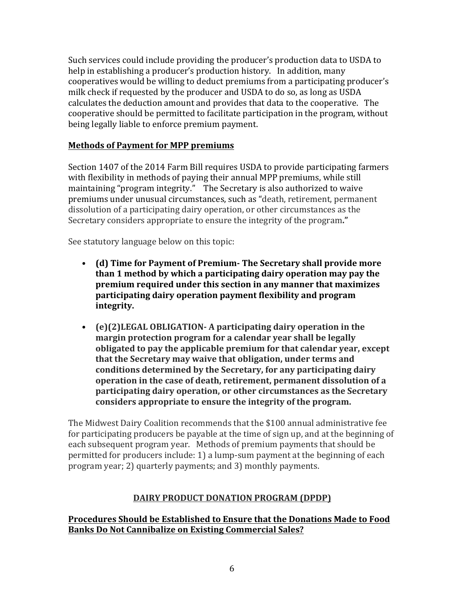Such services could include providing the producer's production data to USDA to help in establishing a producer's production history. In addition, many cooperatives would be willing to deduct premiums from a participating producer's milk check if requested by the producer and USDA to do so, as long as USDA calculates the deduction amount and provides that data to the cooperative. The cooperative should be permitted to facilitate participation in the program, without being legally liable to enforce premium payment.

## **Methods of Payment for MPP premiums**

Section 1407 of the 2014 Farm Bill requires USDA to provide participating farmers with flexibility in methods of paying their annual MPP premiums, while still maintaining "program integrity." The Secretary is also authorized to waive premiums under unusual circumstances, such as "death, retirement, permanent dissolution of a participating dairy operation, or other circumstances as the Secretary considers appropriate to ensure the integrity of the program."

See statutory language below on this topic:

- (d) Time for Payment of Premium- The Secretary shall provide more **than 1 method by which a participating dairy operation may pay the premium required under this section in any manner that maximizes participating dairy operation payment flexibility and program integrity.**
- (e)(2)LEGAL OBLIGATION- A participating dairy operation in the **margin protection program for a calendar year shall be legally obligated to pay the applicable premium for that calendar year, except** that the Secretary may waive that obligation, under terms and conditions determined by the Secretary, for any participating dairy **operation in the case of death, retirement, permanent dissolution of a participating dairy operation, or other circumstances as the Secretary** considers appropriate to ensure the integrity of the program.

The Midwest Dairy Coalition recommends that the \$100 annual administrative fee for participating producers be payable at the time of sign up, and at the beginning of each subsequent program year. Methods of premium payments that should be permitted for producers include: 1) a lump-sum payment at the beginning of each program year; 2) quarterly payments; and 3) monthly payments.

## **DAIRY PRODUCT DONATION PROGRAM (DPDP)**

Procedures Should be Established to Ensure that the Donations Made to Food **Banks Do Not Cannibalize on Existing Commercial Sales?**